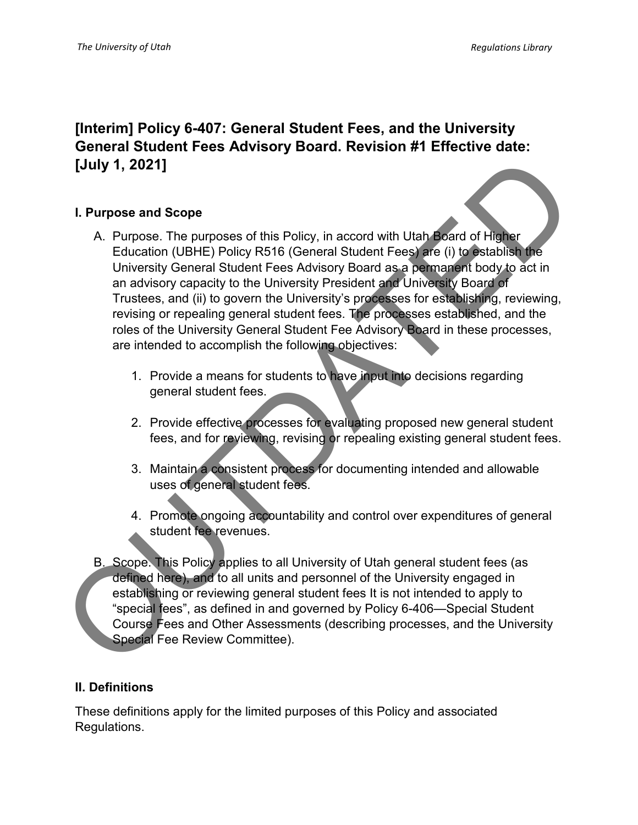# **[Interim] Policy 6-407: General Student Fees, and the University General Student Fees Advisory Board. Revision #1 Effective date: [July 1, 2021]**

### **I. Purpose and Scope**

- A. Purpose. The purposes of this Policy, in accord with Utah Board of Higher Education (UBHE) Policy R516 (General Student Fees) are (i) to establish the University General Student Fees Advisory Board as a permanent body to act in an advisory capacity to the University President and University Board of Trustees, and (ii) to govern the University's processes for establishing, reviewing, revising or repealing general student fees. The processes established, and the roles of the University General Student Fee Advisory Board in these processes, are intended to accomplish the following objectives: (July 1, 2021)<br>
A. Purpose and Scope<br>
A. Purpose. The purposes of this Policy, in accord with Utah Board of Higher<br>
Education (UBHE) Policy R516 (General Student Fees) are (i) to establish the<br>
University General Student F
	- 1. Provide a means for students to have input into decisions regarding general student fees.
	- 2. Provide effective processes for evaluating proposed new general student fees, and for reviewing, revising or repealing existing general student fees.
	- 3. Maintain a consistent process for documenting intended and allowable uses of general student fees.
	- 4. Promote ongoing accountability and control over expenditures of general student fee revenues.
	- B. Scope. This Policy applies to all University of Utah general student fees (as defined here), and to all units and personnel of the University engaged in establishing or reviewing general student fees It is not intended to apply to "special fees", as defined in and governed by Policy 6-406—Special Student Course Fees and Other Assessments (describing processes, and the University Special Fee Review Committee).

### **II. Definitions**

These definitions apply for the limited purposes of this Policy and associated Regulations.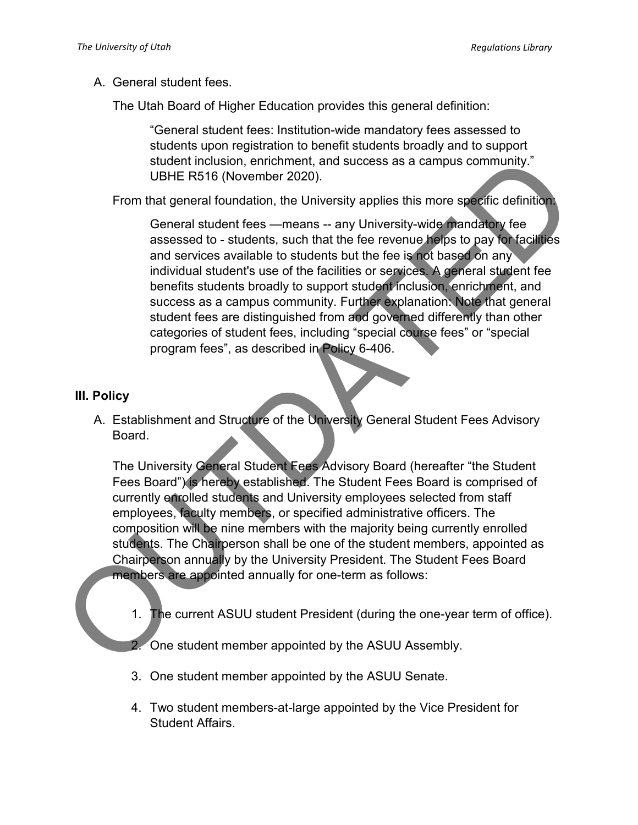A. General student fees.

The Utah Board of Higher Education provides this general definition:

"General student fees: Institution-wide mandatory fees assessed to students upon registration to benefit students broadly and to support student inclusion, enrichment, and success as a campus community." UBHE R516 (November 2020).

From that general foundation, the University applies this more specific definition:

General student fees —means -- any University-wide mandatory fee assessed to - students, such that the fee revenue helps to pay for facilities and services available to students but the fee is not based on any individual student's use of the facilities or services. A general student fee benefits students broadly to support student inclusion, enrichment, and success as a campus community. Further explanation: Note that general student fees are distinguished from and governed differently than other categories of student fees, including "special course fees" or "special program fees", as described in Policy 6-406. student inclusion, emichment, and success as a campus community."<br>
UBHE R516 (November 2020).<br>
From that general student fees —means – any University-wide mandatory fee<br>
assessed to - students. such that the fee revenue is

## **III. Policy**

A. Establishment and Structure of the University General Student Fees Advisory Board.

The University General Student Fees Advisory Board (hereafter "the Student Fees Board") is hereby established. The Student Fees Board is comprised of currently enrolled students and University employees selected from staff employees, faculty members, or specified administrative officers. The composition will be nine members with the majority being currently enrolled students. The Chairperson shall be one of the student members, appointed as Chairperson annually by the University President. The Student Fees Board members are appointed annually for one-term as follows:

1. The current ASUU student President (during the one-year term of office).

2. One student member appointed by the ASUU Assembly.

- 3. One student member appointed by the ASUU Senate.
- 4. Two student members-at-large appointed by the Vice President for Student Affairs.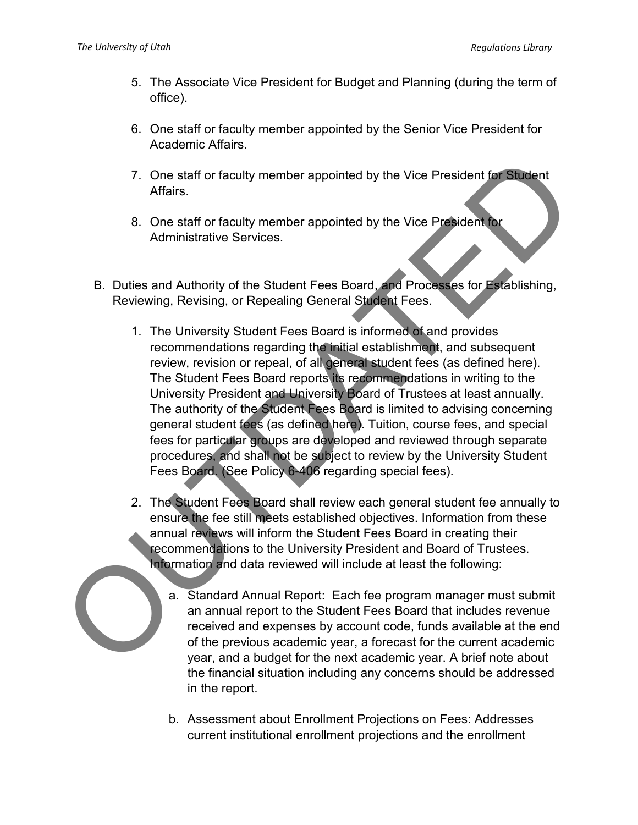- 5. The Associate Vice President for Budget and Planning (during the term of office).
- 6. One staff or faculty member appointed by the Senior Vice President for Academic Affairs.
- 7. One staff or faculty member appointed by the Vice President for Student Affairs.
- 8. One staff or faculty member appointed by the Vice President for Administrative Services.
- B. Duties and Authority of the Student Fees Board, and Processes for Establishing, Reviewing, Revising, or Repealing General Student Fees.
- 1. The University Student Fees Board is informed of and provides recommendations regarding the initial establishment, and subsequent review, revision or repeal, of all general student fees (as defined here). The Student Fees Board reports its recommendations in writing to the University President and University Board of Trustees at least annually. The authority of the Student Fees Board is limited to advising concerning general student fees (as defined here). Tuition, course fees, and special fees for particular groups are developed and reviewed through separate procedures, and shall not be subject to review by the University Student Fees Board. (See Policy 6-406 regarding special fees). 7. One staff or faculty member appointed by the Vice President of Student<br>
Affairs.<br>
8. One staff or faculty member appointed by the Vice President or<br>
Administrative Services.<br>
1. The University Student Fees Board, and Pr
	- 2. The Student Fees Board shall review each general student fee annually to ensure the fee still meets established objectives. Information from these annual reviews will inform the Student Fees Board in creating their recommendations to the University President and Board of Trustees. Information and data reviewed will include at least the following:
		- a. Standard Annual Report: Each fee program manager must submit an annual report to the Student Fees Board that includes revenue received and expenses by account code, funds available at the end of the previous academic year, a forecast for the current academic year, and a budget for the next academic year. A brief note about the financial situation including any concerns should be addressed in the report.
		- b. Assessment about Enrollment Projections on Fees: Addresses current institutional enrollment projections and the enrollment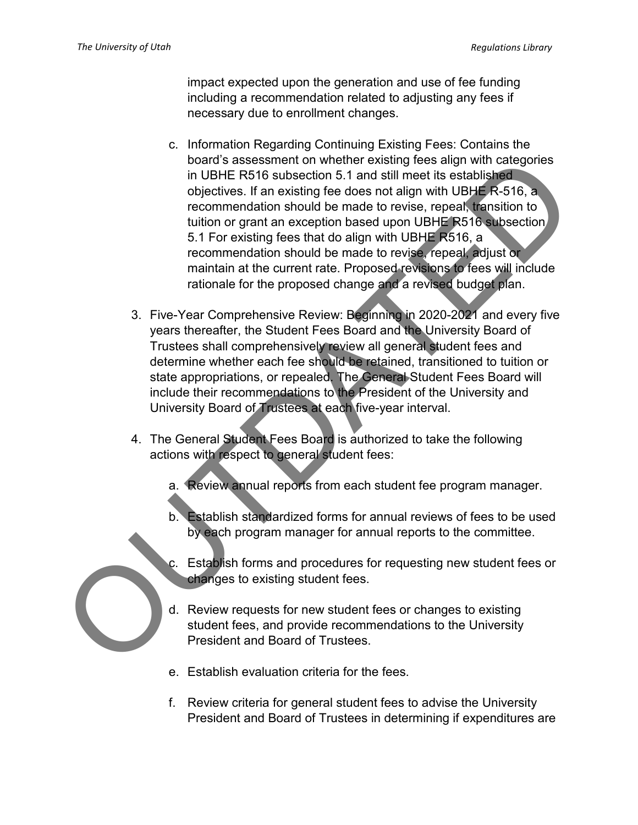impact expected upon the generation and use of fee funding including a recommendation related to adjusting any fees if necessary due to enrollment changes.

- c. Information Regarding Continuing Existing Fees: Contains the board's assessment on whether existing fees align with categories in UBHE R516 subsection 5.1 and still meet its established objectives. If an existing fee does not align with UBHE R-516, a recommendation should be made to revise, repeal, transition to tuition or grant an exception based upon UBHE R516 subsection 5.1 For existing fees that do align with UBHE R516, a recommendation should be made to revise, repeal, adjust or maintain at the current rate. Proposed revisions to fees will include rationale for the proposed change and a revised budget plan. board's assessment on whicher existing fees align with categories<br>
or UBHE RS16 subsection 5.1 and still meet its established<br>
colectives. If an existing fee does not align with UBHE R-S16, a<br>
recommendation should be made
	- 3. Five-Year Comprehensive Review: Beginning in 2020-2021 and every five years thereafter, the Student Fees Board and the University Board of Trustees shall comprehensively review all general student fees and determine whether each fee should be retained, transitioned to tuition or state appropriations, or repealed. The General Student Fees Board will include their recommendations to the President of the University and University Board of Trustees at each five-year interval.
	- 4. The General Student Fees Board is authorized to take the following actions with respect to general student fees:
		- a. Review annual reports from each student fee program manager.
		- **Establish standardized forms for annual reviews of fees to be used** by each program manager for annual reports to the committee.
		- c. Establish forms and procedures for requesting new student fees or changes to existing student fees.
		- d. Review requests for new student fees or changes to existing student fees, and provide recommendations to the University President and Board of Trustees.
		- e. Establish evaluation criteria for the fees.
		- f. Review criteria for general student fees to advise the University President and Board of Trustees in determining if expenditures are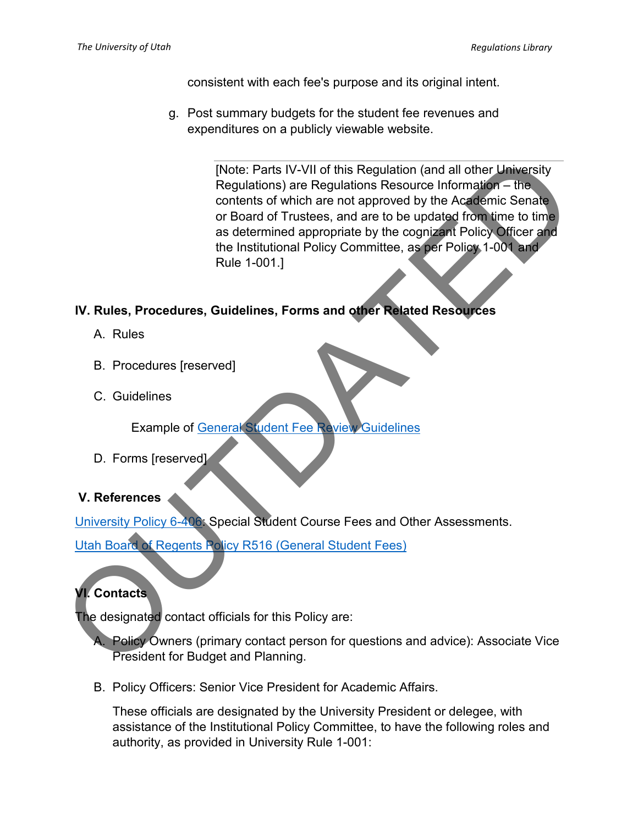consistent with each fee's purpose and its original intent.

g. Post summary budgets for the student fee revenues and expenditures on a publicly viewable website.

[Note: Parts IV-VII of this Regulation (and all other University Regulations) are Regulations Resource Information – the contents of which are not approved by the Academic Senate or Board of Trustees, and are to be updated from time to time as determined appropriate by the cognizant Policy Officer and the Institutional Policy Committee, as per Policy 1-001 and Rule 1-001.] Note: Paris IV-VII of this Regulation (and all other University<br>
Regulations) are Regulations Resource Information – the<br>
or Board of Tustees, and are to be updated from time to time<br>
or Society of the Academic Senate<br>
or

### **IV. Rules, Procedures, Guidelines, Forms and other Related Resources**

- A. Rules
- B. Procedures [reserved]
- C. Guidelines

Example of General Student Fee Review Guidelines

D. Forms [reserved]

### **V. References**

University Policy 6-406: Special Student Course Fees and Other Assessments.

Utah Board of Regents Policy R516 (General Student Fees)

# **VI. Contacts**

The designated contact officials for this Policy are:

A. Policy Owners (primary contact person for questions and advice): Associate Vice President for Budget and Planning.

B. Policy Officers: Senior Vice President for Academic Affairs.

These officials are designated by the University President or delegee, with assistance of the Institutional Policy Committee, to have the following roles and authority, as provided in University Rule 1-001: